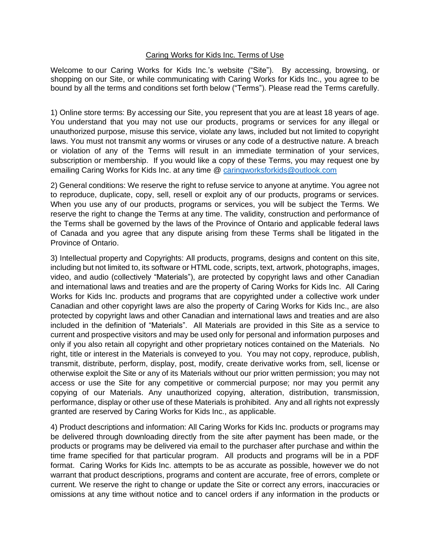## Caring Works for Kids Inc. Terms of Use

Welcome to our Caring Works for Kids Inc.'s website ("Site"). By accessing, browsing, or shopping on our Site, or while communicating with Caring Works for Kids Inc., you agree to be bound by all the terms and conditions set forth below ("Terms"). Please read the Terms carefully.

1) Online store terms: By accessing our Site, you represent that you are at least 18 years of age. You understand that you may not use our products, programs or services for any illegal or unauthorized purpose, misuse this service, violate any laws, included but not limited to copyright laws. You must not transmit any worms or viruses or any code of a destructive nature. A breach or violation of any of the Terms will result in an immediate termination of your services, subscription or membership. If you would like a copy of these Terms, you may request one by emailing Caring Works for Kids Inc. at any time @ [caringworksforkids@outlook.com](mailto:caringworksforkids@outlook.com)

2) General conditions: We reserve the right to refuse service to anyone at anytime. You agree not to reproduce, duplicate, copy, sell, resell or exploit any of our products, programs or services. When you use any of our products, programs or services, you will be subject the Terms. We reserve the right to change the Terms at any time. The validity, construction and performance of the Terms shall be governed by the laws of the Province of Ontario and applicable federal laws of Canada and you agree that any dispute arising from these Terms shall be litigated in the Province of Ontario.

3) Intellectual property and Copyrights: All products, programs, designs and content on this site, including but not limited to, its software or HTML code, scripts, text, artwork, photographs, images, video, and audio (collectively "Materials"), are protected by copyright laws and other Canadian and international laws and treaties and are the property of Caring Works for Kids Inc. All Caring Works for Kids Inc. products and programs that are copyrighted under a collective work under Canadian and other copyright laws are also the property of Caring Works for Kids Inc., are also protected by copyright laws and other Canadian and international laws and treaties and are also included in the definition of "Materials". All Materials are provided in this Site as a service to current and prospective visitors and may be used only for personal and information purposes and only if you also retain all copyright and other proprietary notices contained on the Materials. No right, title or interest in the Materials is conveyed to you. You may not copy, reproduce, publish, transmit, distribute, perform, display, post, modify, create derivative works from, sell, license or otherwise exploit the Site or any of its Materials without our prior written permission; you may not access or use the Site for any competitive or commercial purpose; nor may you permit any copying of our Materials. Any unauthorized copying, alteration, distribution, transmission, performance, display or other use of these Materials is prohibited. Any and all rights not expressly granted are reserved by Caring Works for Kids Inc., as applicable.

4) Product descriptions and information: All Caring Works for Kids Inc. products or programs may be delivered through downloading directly from the site after payment has been made, or the products or programs may be delivered via email to the purchaser after purchase and within the time frame specified for that particular program. All products and programs will be in a PDF format. Caring Works for Kids Inc. attempts to be as accurate as possible, however we do not warrant that product descriptions, programs and content are accurate, free of errors, complete or current. We reserve the right to change or update the Site or correct any errors, inaccuracies or omissions at any time without notice and to cancel orders if any information in the products or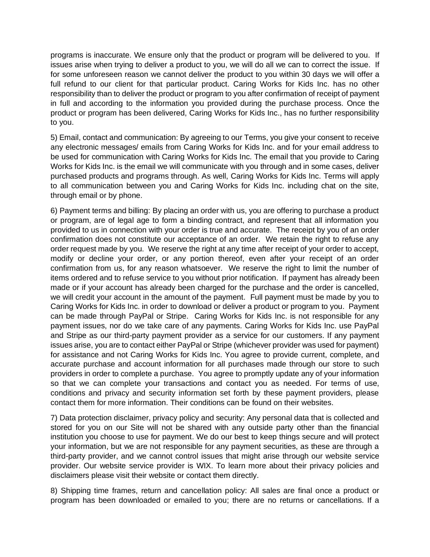programs is inaccurate. We ensure only that the product or program will be delivered to you. If issues arise when trying to deliver a product to you, we will do all we can to correct the issue. If for some unforeseen reason we cannot deliver the product to you within 30 days we will offer a full refund to our client for that particular product. Caring Works for Kids Inc. has no other responsibility than to deliver the product or program to you after confirmation of receipt of payment in full and according to the information you provided during the purchase process. Once the product or program has been delivered, Caring Works for Kids Inc., has no further responsibility to you.

5) Email, contact and communication: By agreeing to our Terms, you give your consent to receive any electronic messages/ emails from Caring Works for Kids Inc. and for your email address to be used for communication with Caring Works for Kids Inc. The email that you provide to Caring Works for Kids Inc. is the email we will communicate with you through and in some cases, deliver purchased products and programs through. As well, Caring Works for Kids Inc. Terms will apply to all communication between you and Caring Works for Kids Inc. including chat on the site, through email or by phone.

6) Payment terms and billing: By placing an order with us, you are offering to purchase a product or program, are of legal age to form a binding contract, and represent that all information you provided to us in connection with your order is true and accurate. The receipt by you of an order confirmation does not constitute our acceptance of an order. We retain the right to refuse any order request made by you. We reserve the right at any time after receipt of your order to accept, modify or decline your order, or any portion thereof, even after your receipt of an order confirmation from us, for any reason whatsoever. We reserve the right to limit the number of items ordered and to refuse service to you without prior notification. If payment has already been made or if your account has already been charged for the purchase and the order is cancelled, we will credit your account in the amount of the payment. Full payment must be made by you to Caring Works for Kids Inc. in order to download or deliver a product or program to you. Payment can be made through PayPal or Stripe. Caring Works for Kids Inc. is not responsible for any payment issues, nor do we take care of any payments. Caring Works for Kids Inc. use PayPal and Stripe as our third-party payment provider as a service for our customers. If any payment issues arise, you are to contact either PayPal or Stripe (whichever provider was used for payment) for assistance and not Caring Works for Kids Inc. You agree to provide current, complete, and accurate purchase and account information for all purchases made through our store to such providers in order to complete a purchase. You agree to promptly update any of your information so that we can complete your transactions and contact you as needed. For terms of use, conditions and privacy and security information set forth by these payment providers, please contact them for more information. Their conditions can be found on their websites.

7) Data protection disclaimer, privacy policy and security: Any personal data that is collected and stored for you on our Site will not be shared with any outside party other than the financial institution you choose to use for payment. We do our best to keep things secure and will protect your information, but we are not responsible for any payment securities, as these are through a third-party provider, and we cannot control issues that might arise through our website service provider. Our website service provider is WIX. To learn more about their privacy policies and disclaimers please visit their website or contact them directly.

8) Shipping time frames, return and cancellation policy: All sales are final once a product or program has been downloaded or emailed to you; there are no returns or cancellations. If a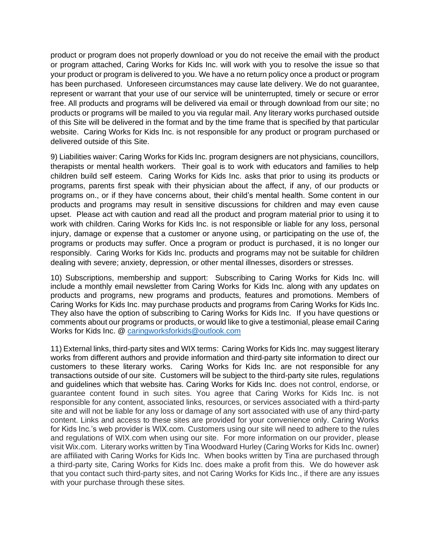product or program does not properly download or you do not receive the email with the product or program attached, Caring Works for Kids Inc. will work with you to resolve the issue so that your product or program is delivered to you. We have a no return policy once a product or program has been purchased. Unforeseen circumstances may cause late delivery. We do not guarantee, represent or warrant that your use of our service will be uninterrupted, timely or secure or error free. All products and programs will be delivered via email or through download from our site; no products or programs will be mailed to you via regular mail. Any literary works purchased outside of this Site will be delivered in the format and by the time frame that is specified by that particular website. Caring Works for Kids Inc. is not responsible for any product or program purchased or delivered outside of this Site.

9) Liabilities waiver: Caring Works for Kids Inc. program designers are not physicians, councillors, therapists or mental health workers. Their goal is to work with educators and families to help children build self esteem. Caring Works for Kids Inc. asks that prior to using its products or programs, parents first speak with their physician about the affect, if any, of our products or programs on., or if they have concerns about, their child's mental health. Some content in our products and programs may result in sensitive discussions for children and may even cause upset. Please act with caution and read all the product and program material prior to using it to work with children. Caring Works for Kids Inc. is not responsible or liable for any loss, personal injury, damage or expense that a customer or anyone using, or participating on the use of, the programs or products may suffer. Once a program or product is purchased, it is no longer our responsibly. Caring Works for Kids Inc. products and programs may not be suitable for children dealing with severe; anxiety, depression, or other mental illnesses, disorders or stresses.

10) Subscriptions, membership and support: Subscribing to Caring Works for Kids Inc. will include a monthly email newsletter from Caring Works for Kids Inc. along with any updates on products and programs, new programs and products, features and promotions. Members of Caring Works for Kids Inc. may purchase products and programs from Caring Works for Kids Inc. They also have the option of subscribing to Caring Works for Kids Inc. If you have questions or comments about our programs or products, or would like to give a testimonial, please email Caring Works for Kids Inc. @ [caringworksforkids@outlook.com](mailto:caringworksforkids@outlook.com)

11) External links, third-party sites and WIX terms: Caring Works for Kids Inc. may suggest literary works from different authors and provide information and third-party site information to direct our customers to these literary works. Caring Works for Kids Inc. are not responsible for any transactions outside of our site. Customers will be subject to the third-party site rules, regulations and guidelines which that website has. Caring Works for Kids Inc. does not control, endorse, or guarantee content found in such sites. You agree that Caring Works for Kids Inc. is not responsible for any content, associated links, resources, or services associated with a third-party site and will not be liable for any loss or damage of any sort associated with use of any third-party content. Links and access to these sites are provided for your convenience only. Caring Works for Kids Inc.'s web provider is WIX.com. Customers using our site will need to adhere to the rules and regulations of WIX.com when using our site. For more information on our provider, please visit Wix.com. Literary works written by Tina Woodward Hurley (Caring Works for Kids Inc. owner) are affiliated with Caring Works for Kids Inc. When books written by Tina are purchased through a third-party site, Caring Works for Kids Inc. does make a profit from this. We do however ask that you contact such third-party sites, and not Caring Works for Kids Inc., if there are any issues with your purchase through these sites.